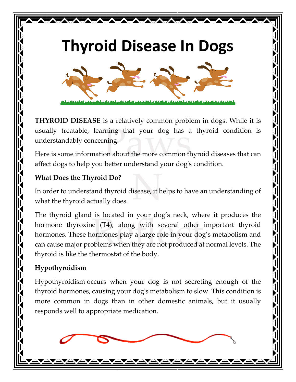# **Thyroid Disease In Dogs**

WAXAYAYAYAYAY



**THYROID DISEASE** is a relatively common problem in dogs. While it is usually treatable, learning that your dog has a thyroid condition is understandably concerning.

Here is some information about the more common thyroid diseases that can affect dogs to help you better understand your dog's condition.

#### **What Does the Thyroid Do?**

In order to understand thyroid disease, it helps to have an understanding of what the thyroid actually does.

The thyroid gland is located in your dog's neck, where it produces the hormone thyroxine (T4), along with several other important thyroid hormones. These hormones play a large role in your dog's metabolism and can cause major problems when they are not produced at normal levels. The thyroid is like the thermostat of the body.

# **Hypothyroidism**

Hypothyroidism occurs when your dog is not secreting enough of the thyroid hormones, causing your dog's metabolism to slow. This condition is more common in dogs than in other domestic animals, but it usually responds well to appropriate medication.

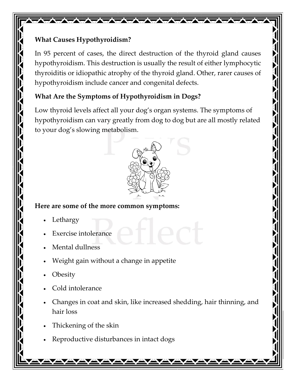## **What Causes Hypothyroidism?**

In 95 percent of cases, the direct destruction of the thyroid gland causes hypothyroidism. This destruction is usually the result of either lymphocytic thyroiditis or idiopathic atrophy of the thyroid gland. Other, rarer causes of hypothyroidism include cancer and congenital defects.

WAYNAWAYA WAKATA TA

## **What Are the Symptoms of Hypothyroidism in Dogs?**

Low thyroid levels affect all your dog's organ systems. The symptoms of hypothyroidism can vary greatly from dog to dog but are all mostly related to your dog's slowing metabolism.



#### **Here are some of the more common symptoms:**

- **Lethargy**
- **Exercise intolerance**
- Mental dullness
- Weight gain without a change in appetite
- **Obesity**
- Cold intolerance
- Changes in coat and skin, like increased shedding, hair thinning, and hair loss
- Thickening of the skin
- Reproductive disturbances in intact dogs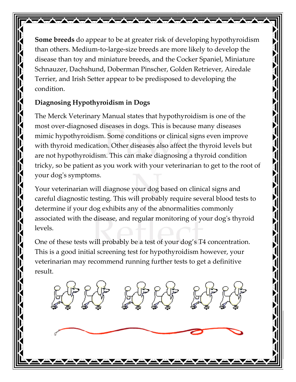**Some breeds** do appear to be at greater risk of developing hypothyroidism than others. Medium-to-large-size breeds are more likely to develop the disease than toy and miniature breeds, and the Cocker Spaniel, Miniature Schnauzer, Dachshund, Doberman Pinscher, Golden Retriever, Airedale Terrier, and Irish Setter appear to be predisposed to developing the condition.

WAYAYAYAYAYAYAYAYA

## **Diagnosing Hypothyroidism in Dogs**

The Merck Veterinary Manual states that hypothyroidism is one of the most over-diagnosed diseases in dogs. This is because many diseases mimic hypothyroidism. Some conditions or clinical signs even improve with thyroid medication. Other diseases also affect the thyroid levels but are not hypothyroidism. This can make diagnosing a thyroid condition tricky, so be patient as you work with your veterinarian to get to the root of your dog's symptoms.

Your veterinarian will diagnose your dog based on clinical signs and careful diagnostic testing. This will probably require several blood tests to determine if your dog exhibits any of the abnormalities commonly associated with the disease, and regular monitoring of your dog's thyroid levels.

One of these tests will probably be a test of your dog's T4 concentration. This is a good initial screening test for hypothyroidism however, your veterinarian may recommend running further tests to get a definitive result.

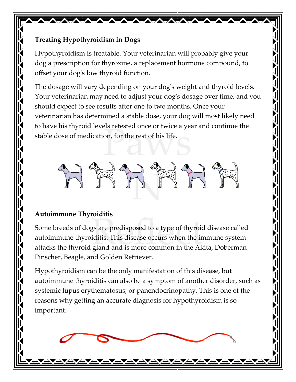#### **Treating Hypothyroidism in Dogs**

Hypothyroidism is treatable. Your veterinarian will probably give your dog a prescription for thyroxine, a replacement hormone compound, to offset your dog's low thyroid function.

WAXAYAYAYAYAYAYAY

The dosage will vary depending on your dog's weight and thyroid levels. Your veterinarian may need to adjust your dog's dosage over time, and you should expect to see results after one to two months. Once your veterinarian has determined a stable dose, your dog will most likely need to have his thyroid levels retested once or twice a year and continue the stable dose of medication, for the rest of his life.



## **Autoimmune Thyroiditis**

Some breeds of dogs are predisposed to a type of thyroid disease called autoimmune thyroiditis. This disease occurs when the immune system attacks the thyroid gland and is more common in the Akita, Doberman Pinscher, Beagle, and Golden Retriever.

Hypothyroidism can be the only manifestation of this disease, but autoimmune thyroiditis can also be a symptom of another disorder, such as systemic lupus erythematosus, or panendocrinopathy. This is one of the reasons why getting an accurate diagnosis for hypothyroidism is so important.

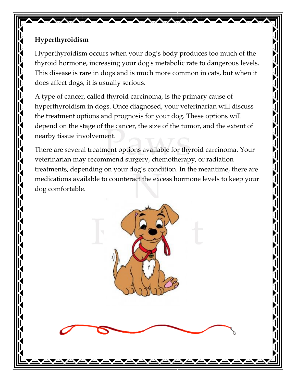#### **Hyperthyroidism**

Hyperthyroidism occurs when your dog's body produces too much of the thyroid hormone, increasing your dog's metabolic rate to dangerous levels. This disease is rare in dogs and is much more common in cats, but when it does affect dogs, it is usually serious.

**WAYNA WARANTA WA** 

A type of cancer, called thyroid carcinoma, is the primary cause of hyperthyroidism in dogs. Once diagnosed, your veterinarian will discuss the treatment options and prognosis for your dog. These options will depend on the stage of the cancer, the size of the tumor, and the extent of nearby tissue involvement.

There are several treatment options available for thyroid carcinoma. Your veterinarian may recommend surgery, chemotherapy, or radiation treatments, depending on your dog's condition. In the meantime, there are medications available to counteract the excess hormone levels to keep your dog comfortable.

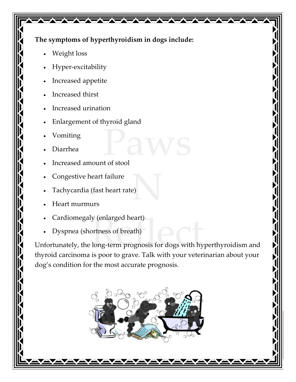#### **The symptoms of hyperthyroidism in dogs include:**

WAXAYAYAYAYAY

- Weight loss
- Hyper-excitability
- Increased appetite
- Increased thirst
- Increased urination
- Enlargement of thyroid gland
- Vomiting
- Diarrhea
- Increased amount of stool
- Congestive heart failure
- Tachycardia (fast heart rate)
- Heart murmurs
- Cardiomegaly (enlarged heart)
- Dyspnea (shortness of breath)

Unfortunately, the long-term prognosis for dogs with hyperthyroidism and thyroid carcinoma is poor to grave. Talk with your veterinarian about your dog's condition for the most accurate prognosis.